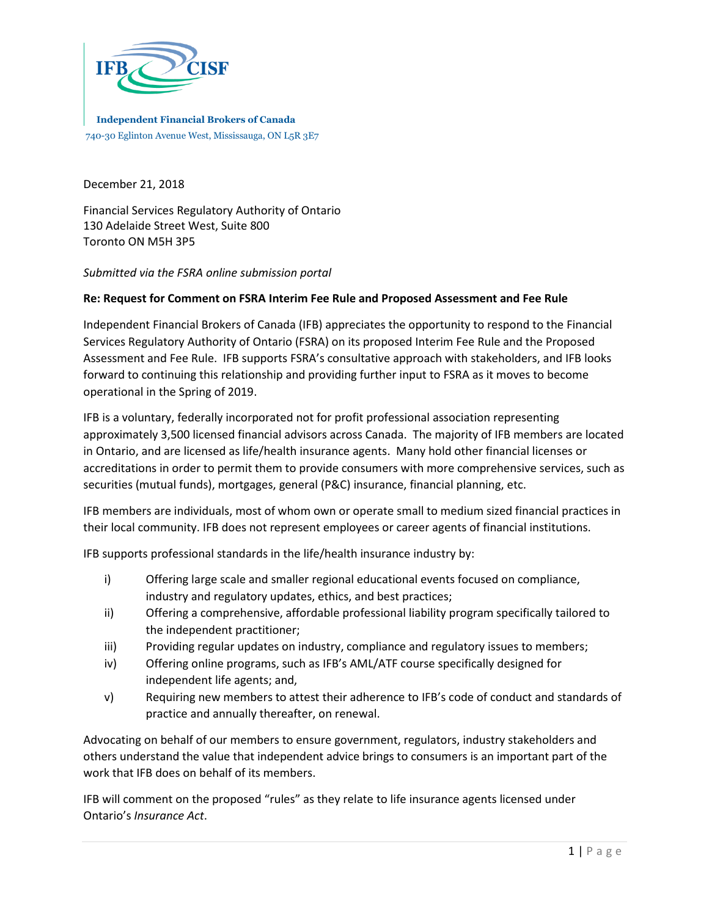

**Independent Financial Brokers of Canada** 740-30 Eglinton Avenue West, Mississauga, ON L5R 3E7

December 21, 2018

Financial Services Regulatory Authority of Ontario 130 Adelaide Street West, Suite 800 Toronto ON M5H 3P5

*Submitted via the FSRA online submission portal*

## **Re: Request for Comment on FSRA Interim Fee Rule and Proposed Assessment and Fee Rule**

Independent Financial Brokers of Canada (IFB) appreciates the opportunity to respond to the Financial Services Regulatory Authority of Ontario (FSRA) on its proposed Interim Fee Rule and the Proposed Assessment and Fee Rule. IFB supports FSRA's consultative approach with stakeholders, and IFB looks forward to continuing this relationship and providing further input to FSRA as it moves to become operational in the Spring of 2019.

IFB is a voluntary, federally incorporated not for profit professional association representing approximately 3,500 licensed financial advisors across Canada. The majority of IFB members are located in Ontario, and are licensed as life/health insurance agents. Many hold other financial licenses or accreditations in order to permit them to provide consumers with more comprehensive services, such as securities (mutual funds), mortgages, general (P&C) insurance, financial planning, etc.

IFB members are individuals, most of whom own or operate small to medium sized financial practices in their local community. IFB does not represent employees or career agents of financial institutions.

IFB supports professional standards in the life/health insurance industry by:

- i) Offering large scale and smaller regional educational events focused on compliance, industry and regulatory updates, ethics, and best practices;
- ii) Offering a comprehensive, affordable professional liability program specifically tailored to the independent practitioner;
- iii) Providing regular updates on industry, compliance and regulatory issues to members;
- iv) Offering online programs, such as IFB's AML/ATF course specifically designed for independent life agents; and,
- v) Requiring new members to attest their adherence to IFB's code of conduct and standards of practice and annually thereafter, on renewal.

Advocating on behalf of our members to ensure government, regulators, industry stakeholders and others understand the value that independent advice brings to consumers is an important part of the work that IFB does on behalf of its members.

IFB will comment on the proposed "rules" as they relate to life insurance agents licensed under Ontario's *Insurance Act*.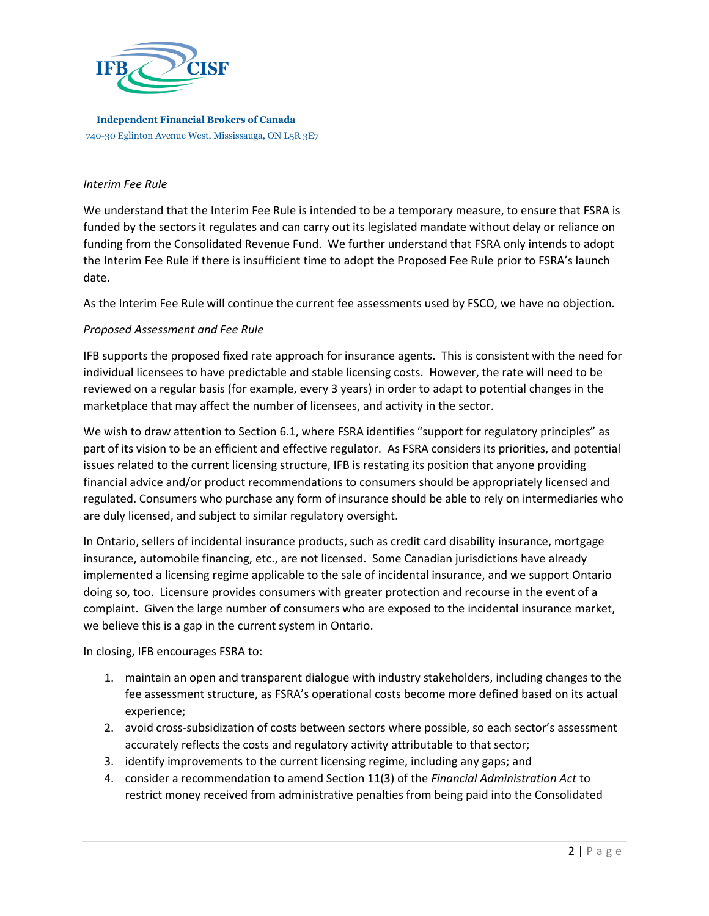

**Independent Financial Brokers of Canada** 740-30 Eglinton Avenue West, Mississauga, ON L5R 3E7

## *Interim Fee Rule*

We understand that the Interim Fee Rule is intended to be a temporary measure, to ensure that FSRA is funded by the sectors it regulates and can carry out its legislated mandate without delay or reliance on funding from the Consolidated Revenue Fund. We further understand that FSRA only intends to adopt the Interim Fee Rule if there is insufficient time to adopt the Proposed Fee Rule prior to FSRA's launch date.

As the Interim Fee Rule will continue the current fee assessments used by FSCO, we have no objection.

## *Proposed Assessment and Fee Rule*

IFB supports the proposed fixed rate approach for insurance agents. This is consistent with the need for individual licensees to have predictable and stable licensing costs. However, the rate will need to be reviewed on a regular basis (for example, every 3 years) in order to adapt to potential changes in the marketplace that may affect the number of licensees, and activity in the sector.

We wish to draw attention to Section 6.1, where FSRA identifies "support for regulatory principles" as part of its vision to be an efficient and effective regulator. As FSRA considers its priorities, and potential issues related to the current licensing structure, IFB is restating its position that anyone providing financial advice and/or product recommendations to consumers should be appropriately licensed and regulated. Consumers who purchase any form of insurance should be able to rely on intermediaries who are duly licensed, and subject to similar regulatory oversight.

In Ontario, sellers of incidental insurance products, such as credit card disability insurance, mortgage insurance, automobile financing, etc., are not licensed. Some Canadian jurisdictions have already implemented a licensing regime applicable to the sale of incidental insurance, and we support Ontario doing so, too. Licensure provides consumers with greater protection and recourse in the event of a complaint. Given the large number of consumers who are exposed to the incidental insurance market, we believe this is a gap in the current system in Ontario.

In closing, IFB encourages FSRA to:

- 1. maintain an open and transparent dialogue with industry stakeholders, including changes to the fee assessment structure, as FSRA's operational costs become more defined based on its actual experience;
- 2. avoid cross-subsidization of costs between sectors where possible, so each sector's assessment accurately reflects the costs and regulatory activity attributable to that sector;
- 3. identify improvements to the current licensing regime, including any gaps; and
- 4. consider a recommendation to amend Section 11(3) of the *Financial Administration Act* to restrict money received from administrative penalties from being paid into the Consolidated